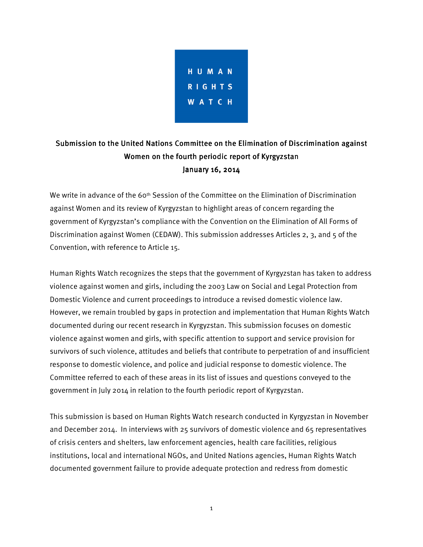

# Submission to the United Nations Committee on the Elimination of Discrimination against Women on the fourth periodic report of Kyrgyzstan January 16, 2014

We write in advance of the 60<sup>th</sup> Session of the Committee on the Elimination of Discrimination against Women and its review of Kyrgyzstan to highlight areas of concern regarding the government of Kyrgyzstan's compliance with the Convention on the Elimination of All Forms of Discrimination against Women (CEDAW). This submission addresses Articles 2, 3, and 5 of the Convention, with reference to Article 15.

Human Rights Watch recognizes the steps that the government of Kyrgyzstan has taken to address violence against women and girls, including the 2003 Law on Social and Legal Protection from Domestic Violence and current proceedings to introduce a revised domestic violence law. However, we remain troubled by gaps in protection and implementation that Human Rights Watch documented during our recent research in Kyrgyzstan. This submission focuses on domestic violence against women and girls, with specific attention to support and service provision for survivors of such violence, attitudes and beliefs that contribute to perpetration of and insufficient response to domestic violence, and police and judicial response to domestic violence. The Committee referred to each of these areas in its list of issues and questions conveyed to the government in July 2014 in relation to the fourth periodic report of Kyrgyzstan.

This submission is based on Human Rights Watch research conducted in Kyrgyzstan in November and December 2014. In interviews with 25 survivors of domestic violence and 65 representatives of crisis centers and shelters, law enforcement agencies, health care facilities, religious institutions, local and international NGOs, and United Nations agencies, Human Rights Watch documented government failure to provide adequate protection and redress from domestic

1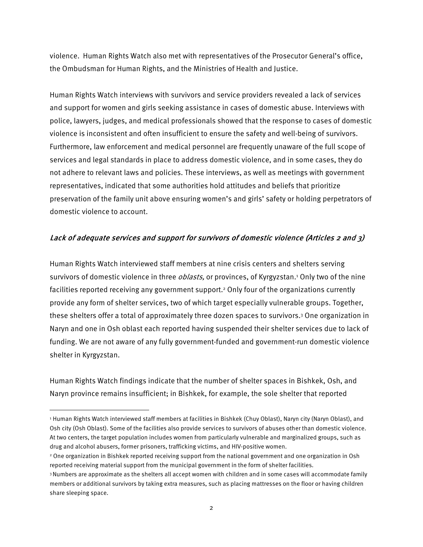violence. Human Rights Watch also met with representatives of the Prosecutor General's office, the Ombudsman for Human Rights, and the Ministries of Health and Justice.

Human Rights Watch interviews with survivors and service providers revealed a lack of services and support for women and girls seeking assistance in cases of domestic abuse. Interviews with police, lawyers, judges, and medical professionals showed that the response to cases of domestic violence is inconsistent and often insufficient to ensure the safety and well-being of survivors. Furthermore, law enforcement and medical personnel are frequently unaware of the full scope of services and legal standards in place to address domestic violence, and in some cases, they do not adhere to relevant laws and policies. These interviews, as well as meetings with government representatives, indicated that some authorities hold attitudes and beliefs that prioritize preservation of the family unit above ensuring women's and girls' safety or holding perpetrators of domestic violence to account.

#### Lack of adequate services and support for survivors of domestic violence (Articles 2 and 3)

Human Rights Watch interviewed staff members at nine crisis centers and shelters serving survivors of domestic violence in three *oblasts,* or provinces, of Kyrgyzstan.<sup>1</sup> Only two of the nine facilities reported receiving any government support.<sup>2</sup> Only four of the organizations currently provide any form of shelter services, two of which target especially vulnerable groups. Together, these shelters offer a total of approximately three dozen spaces to survivors.<sup>3</sup> One organization in Naryn and one in Osh oblast each reported having suspended their shelter services due to lack of funding. We are not aware of any fully government-funded and government-run domestic violence shelter in Kyrgyzstan.

Human Rights Watch findings indicate that the number of shelter spaces in Bishkek, Osh, and Naryn province remains insufficient; in Bishkek, for example, the sole shelter that reported

<sup>1</sup> Human Rights Watch interviewed staff members at facilities in Bishkek (Chuy Oblast), Naryn city (Naryn Oblast), and Osh city (Osh Oblast). Some of the facilities also provide services to survivors of abuses other than domestic violence. At two centers, the target population includes women from particularly vulnerable and marginalized groups, such as drug and alcohol abusers, former prisoners, trafficking victims, and HIV-positive women.

<sup>2</sup> One organization in Bishkek reported receiving support from the national government and one organization in Osh reported receiving material support from the municipal government in the form of shelter facilities.

<sup>3</sup>Numbers are approximate as the shelters all accept women with children and in some cases will accommodate family members or additional survivors by taking extra measures, such as placing mattresses on the floor or having children share sleeping space.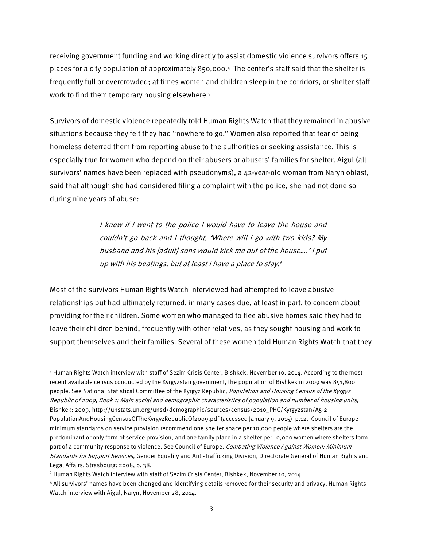receiving government funding and working directly to assist domestic violence survivors offers 15 places for a city population of approximately 850,000.<sup>4</sup> The center's staff said that the shelter is frequently full or overcrowded; at times women and children sleep in the corridors, or shelter staff work to find them temporary housing elsewhere.<sup>5</sup>

Survivors of domestic violence repeatedly told Human Rights Watch that they remained in abusive situations because they felt they had "nowhere to go." Women also reported that fear of being homeless deterred them from reporting abuse to the authorities or seeking assistance. This is especially true for women who depend on their abusers or abusers' families for shelter. Aigul (all survivors' names have been replaced with pseudonyms), a 42-year-old woman from Naryn oblast, said that although she had considered filing a complaint with the police, she had not done so during nine years of abuse:

> I knew if I went to the police I would have to leave the house and couldn't go back and I thought, 'Where will I go with two kids? My husband and his [adult] sons would kick me out of the house….' I put up with his beatings, but at least I have a place to stay. 6

Most of the survivors Human Rights Watch interviewed had attempted to leave abusive relationships but had ultimately returned, in many cases due, at least in part, to concern about providing for their children. Some women who managed to flee abusive homes said they had to leave their children behind, frequently with other relatives, as they sought housing and work to support themselves and their families. Several of these women told Human Rights Watch that they

<sup>4</sup> Human Rights Watch interview with staff of Sezim Crisis Center, Bishkek, November 10, 2014. According to the most recent available census conducted by the Kyrgyzstan government, the population of Bishkek in 2009 was 851,800 people. See National Statistical Committee of the Kyrgyz Republic, Population and Housing Census of the Kyrgyz Republic of 2009, Book 1: Main social and demographic characteristics of population and number of housing units, Bishkek: 2009, http://unstats.un.org/unsd/demographic/sources/census/2010\_PHC/Kyrgyzstan/A5-2 PopulationAndHousingCensusOfTheKyrgyzRepublicOf2009.pdf (accessed January 9, 2015) p.12. Council of Europe minimum standards on service provision recommend one shelter space per 10,000 people where shelters are the predominant or only form of service provision, and one family place in a shelter per 10,000 women where shelters form part of a community response to violence. See Council of Europe, Combating Violence Against Women: Minimum Standards for Support Services, Gender Equality and Anti-Trafficking Division, Directorate General of Human Rights and Legal Affairs, Strasbourg: 2008, p. 38.

 $<sup>5</sup>$  Human Rights Watch interview with staff of Sezim Crisis Center, Bishkek, November 10, 2014.</sup>

<sup>6</sup> All survivors' names have been changed and identifying details removed for their security and privacy. Human Rights Watch interview with Aigul, Naryn, November 28, 2014.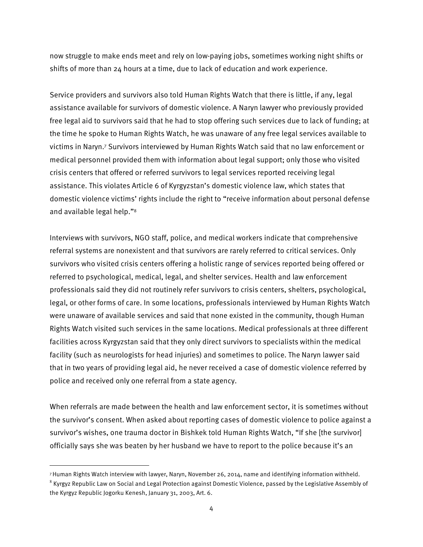now struggle to make ends meet and rely on low-paying jobs, sometimes working night shifts or shifts of more than 24 hours at a time, due to lack of education and work experience.

Service providers and survivors also told Human Rights Watch that there is little, if any, legal assistance available for survivors of domestic violence. A Naryn lawyer who previously provided free legal aid to survivors said that he had to stop offering such services due to lack of funding; at the time he spoke to Human Rights Watch, he was unaware of any free legal services available to victims in Naryn.<sup>7</sup> Survivors interviewed by Human Rights Watch said that no law enforcement or medical personnel provided them with information about legal support; only those who visited crisis centers that offered or referred survivors to legal services reported receiving legal assistance. This violates Article 6 of Kyrgyzstan's domestic violence law, which states that domestic violence victims' rights include the right to "receive information about personal defense and available legal help."<sup>8</sup>

Interviews with survivors, NGO staff, police, and medical workers indicate that comprehensive referral systems are nonexistent and that survivors are rarely referred to critical services. Only survivors who visited crisis centers offering a holistic range of services reported being offered or referred to psychological, medical, legal, and shelter services. Health and law enforcement professionals said they did not routinely refer survivors to crisis centers, shelters, psychological, legal, or other forms of care. In some locations, professionals interviewed by Human Rights Watch were unaware of available services and said that none existed in the community, though Human Rights Watch visited such services in the same locations. Medical professionals at three different facilities across Kyrgyzstan said that they only direct survivors to specialists within the medical facility (such as neurologists for head injuries) and sometimes to police. The Naryn lawyer said that in two years of providing legal aid, he never received a case of domestic violence referred by police and received only one referral from a state agency.

When referrals are made between the health and law enforcement sector, it is sometimes without the survivor's consent. When asked about reporting cases of domestic violence to police against a survivor's wishes, one trauma doctor in Bishkek told Human Rights Watch, "If she [the survivor] officially says she was beaten by her husband we have to report to the police because it's an

<sup>7</sup>Human Rights Watch interview with lawyer, Naryn, November 26, 2014, name and identifying information withheld.

 $^8$  Kyrgyz Republic Law on Social and Legal Protection against Domestic Violence, passed by the Legislative Assembly of the Kyrgyz Republic Jogorku Kenesh, January 31, 2003, Art. 6.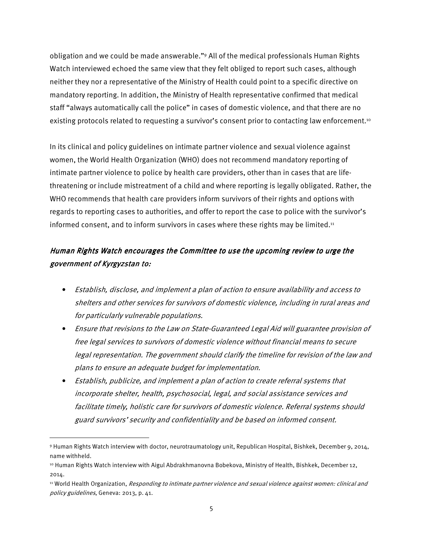obligation and we could be made answerable."<sup>9</sup> All of the medical professionals Human Rights Watch interviewed echoed the same view that they felt obliged to report such cases, although neither they nor a representative of the Ministry of Health could point to a specific directive on mandatory reporting. In addition, the Ministry of Health representative confirmed that medical staff "always automatically call the police" in cases of domestic violence, and that there are no existing protocols related to requesting a survivor's consent prior to contacting law enforcement.<sup>10</sup>

In its clinical and policy guidelines on intimate partner violence and sexual violence against women, the World Health Organization (WHO) does not recommend mandatory reporting of intimate partner violence to police by health care providers, other than in cases that are lifethreatening or include mistreatment of a child and where reporting is legally obligated. Rather, the WHO recommends that health care providers inform survivors of their rights and options with regards to reporting cases to authorities, and offer to report the case to police with the survivor's informed consent, and to inform survivors in cases where these rights may be limited.<sup>11</sup>

### Human Rights Watch encourages the Committee to use the upcoming review to urge the government of Kyrgyzstan to:

- Establish, disclose, and implement a plan of action to ensure availability and access to shelters and other services for survivors of domestic violence, including in rural areas and for particularly vulnerable populations.
- Ensure that revisions to the Law on State-Guaranteed Legal Aid will guarantee provision of free legal services to survivors of domestic violence without financial means to secure legal representation. The government should clarify the timeline for revision of the law and plans to ensure an adequate budget for implementation.
- Establish, publicize, and implement a plan of action to create referral systems that incorporate shelter, health, psychosocial, legal, and social assistance services and facilitate timely, holistic care for survivors of domestic violence. Referral systems should guard survivors' security and confidentiality and be based on informed consent.

<sup>9</sup> Human Rights Watch interview with doctor, neurotraumatology unit, Republican Hospital, Bishkek, December 9, 2014, name withheld.

<sup>10</sup> Human Rights Watch interview with Aigul Abdrakhmanovna Bobekova, Ministry of Health, Bishkek, December 12, 2014.

<sup>&</sup>lt;sup>11</sup> World Health Organization, Responding to intimate partner violence and sexual violence against women: clinical and policy guidelines, Geneva: 2013, p. 41.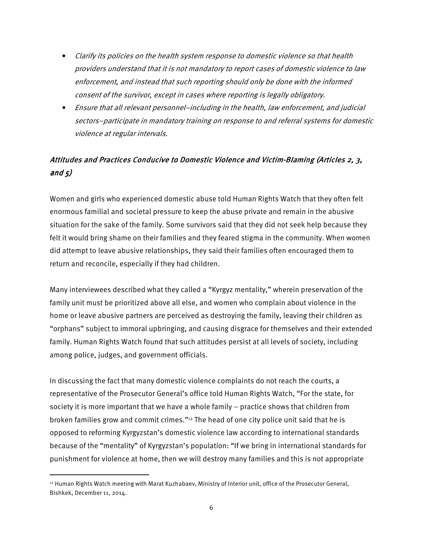- Clarify its policies on the health system response to domestic violence so that health providers understand that it is not mandatory to report cases of domestic violence to law enforcement, and instead that such reporting should only be done with the informed consent of the survivor, except in cases where reporting is legally obligatory.
- Ensure that all relevant personnel–including in the health, law enforcement, and judicial sectors–participate in mandatory training on response to and referral systems for domestic violence at regular intervals.

# Attitudes and Practices Conducive to Domestic Violence and Victim-Blaming (Articles 2, 3, and  $5)$

Women and girls who experienced domestic abuse told Human Rights Watch that they often felt enormous familial and societal pressure to keep the abuse private and remain in the abusive situation for the sake of the family. Some survivors said that they did not seek help because they felt it would bring shame on their families and they feared stigma in the community. When women did attempt to leave abusive relationships, they said their families often encouraged them to return and reconcile, especially if they had children.

Many interviewees described what they called a "Kyrgyz mentality," wherein preservation of the family unit must be prioritized above all else, and women who complain about violence in the home or leave abusive partners are perceived as destroying the family, leaving their children as "orphans" subject to immoral upbringing, and causing disgrace for themselves and their extended family. Human Rights Watch found that such attitudes persist at all levels of society, including among police, judges, and government officials.

In discussing the fact that many domestic violence complaints do not reach the courts, a representative of the Prosecutor General's office told Human Rights Watch, "For the state, for society it is more important that we have a whole family – practice shows that children from broken families grow and commit crimes." $12$  The head of one city police unit said that he is opposed to reforming Kyrgyzstan's domestic violence law according to international standards because of the "mentality" of Kyrgyzstan's population: "If we bring in international standards for punishment for violence at home, then we will destroy many families and this is not appropriate

<sup>12</sup> Human Rights Watch meeting with Marat Kuzhabaev, Ministry of Interior unit, office of the Prosecutor General, Bishkek, December 11, 2014.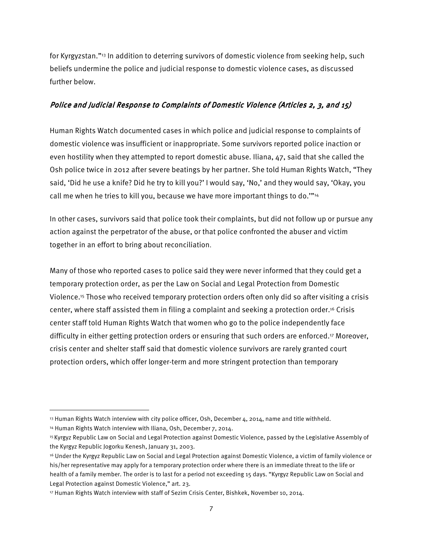for Kyrgyzstan."13 In addition to deterring survivors of domestic violence from seeking help, such beliefs undermine the police and judicial response to domestic violence cases, as discussed further below.

### Police and Judicial Response to Complaints of Domestic Violence (Articles 2, 3, and 15)

Human Rights Watch documented cases in which police and judicial response to complaints of domestic violence was insufficient or inappropriate. Some survivors reported police inaction or even hostility when they attempted to report domestic abuse. Iliana, 47, said that she called the Osh police twice in 2012 after severe beatings by her partner. She told Human Rights Watch, "They said, 'Did he use a knife? Did he try to kill you?' I would say, 'No,' and they would say, 'Okay, you call me when he tries to kill you, because we have more important things to do.""<sup>14</sup>

In other cases, survivors said that police took their complaints, but did not follow up or pursue any action against the perpetrator of the abuse, or that police confronted the abuser and victim together in an effort to bring about reconciliation.

Many of those who reported cases to police said they were never informed that they could get a temporary protection order, as per the Law on Social and Legal Protection from Domestic Violence.15 Those who received temporary protection orders often only did so after visiting a crisis center, where staff assisted them in filing a complaint and seeking a protection order.16 Crisis center staff told Human Rights Watch that women who go to the police independently face difficulty in either getting protection orders or ensuring that such orders are enforced.<sup>17</sup> Moreover, crisis center and shelter staff said that domestic violence survivors are rarely granted court protection orders, which offer longer-term and more stringent protection than temporary

<sup>13</sup> Human Rights Watch interview with city police officer, Osh, December 4, 2014, name and title withheld.

<sup>14</sup> Human Rights Watch interview with Iliana, Osh, December 7, 2014.

<sup>15</sup>Kyrgyz Republic Law on Social and Legal Protection against Domestic Violence, passed by the Legislative Assembly of the Kyrgyz Republic Jogorku Kenesh, January 31, 2003.

<sup>16</sup> Under the Kyrgyz Republic Law on Social and Legal Protection against Domestic Violence, a victim of family violence or his/her representative may apply for a temporary protection order where there is an immediate threat to the life or health of a family member. The order is to last for a period not exceeding 15 days. "Kyrgyz Republic Law on Social and Legal Protection against Domestic Violence," art. 23.

<sup>17</sup> Human Rights Watch interview with staff of Sezim Crisis Center, Bishkek, November 10, 2014.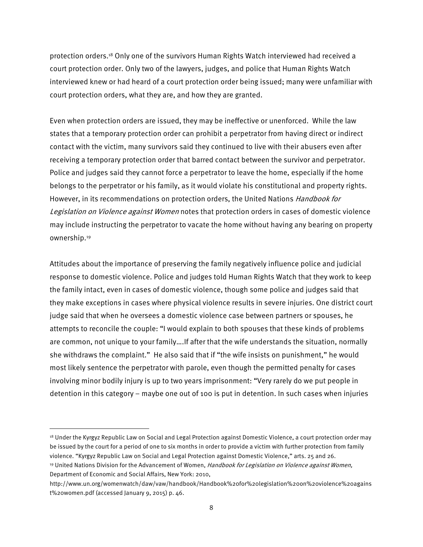protection orders.18 Only one of the survivors Human Rights Watch interviewed had received a court protection order. Only two of the lawyers, judges, and police that Human Rights Watch interviewed knew or had heard of a court protection order being issued; many were unfamiliar with court protection orders, what they are, and how they are granted.

Even when protection orders are issued, they may be ineffective or unenforced. While the law states that a temporary protection order can prohibit a perpetrator from having direct or indirect contact with the victim, many survivors said they continued to live with their abusers even after receiving a temporary protection order that barred contact between the survivor and perpetrator. Police and judges said they cannot force a perpetrator to leave the home, especially if the home belongs to the perpetrator or his family, as it would violate his constitutional and property rights. However, in its recommendations on protection orders, the United Nations *Handbook for* Legislation on Violence against Women notes that protection orders in cases of domestic violence may include instructing the perpetrator to vacate the home without having any bearing on property ownership.<sup>19</sup>

Attitudes about the importance of preserving the family negatively influence police and judicial response to domestic violence. Police and judges told Human Rights Watch that they work to keep the family intact, even in cases of domestic violence, though some police and judges said that they make exceptions in cases where physical violence results in severe injuries. One district court judge said that when he oversees a domestic violence case between partners or spouses, he attempts to reconcile the couple: "I would explain to both spouses that these kinds of problems are common, not unique to your family….If after that the wife understands the situation, normally she withdraws the complaint." He also said that if "the wife insists on punishment," he would most likely sentence the perpetrator with parole, even though the permitted penalty for cases involving minor bodily injury is up to two years imprisonment: "Very rarely do we put people in detention in this category – maybe one out of 100 is put in detention. In such cases when injuries

<sup>&</sup>lt;sup>18</sup> Under the Kyrgyz Republic Law on Social and Legal Protection against Domestic Violence, a court protection order may be issued by the court for a period of one to six months in order to provide a victim with further protection from family violence. "Kyrgyz Republic Law on Social and Legal Protection against Domestic Violence," arts. 25 and 26. <sup>19</sup> United Nations Division for the Advancement of Women, Handbook for Legislation on Violence against Women, Department of Economic and Social Affairs, New York: 2010,

http://www.un.org/womenwatch/daw/vaw/handbook/Handbook%20for%20legislation%20on%20violence%20agains t%20women.pdf (accessed January 9, 2015) p. 46.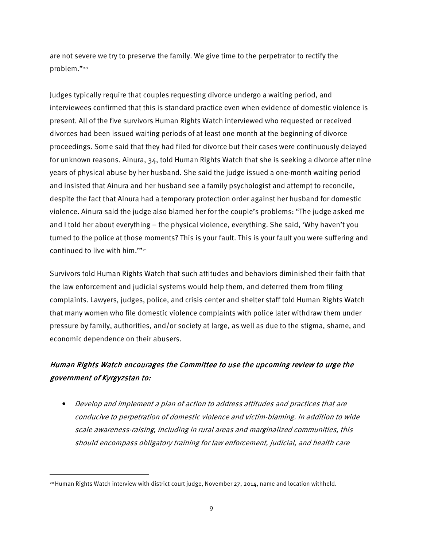are not severe we try to preserve the family. We give time to the perpetrator to rectify the problem."<sup>20</sup>

Judges typically require that couples requesting divorce undergo a waiting period, and interviewees confirmed that this is standard practice even when evidence of domestic violence is present. All of the five survivors Human Rights Watch interviewed who requested or received divorces had been issued waiting periods of at least one month at the beginning of divorce proceedings. Some said that they had filed for divorce but their cases were continuously delayed for unknown reasons. Ainura, 34, told Human Rights Watch that she is seeking a divorce after nine years of physical abuse by her husband. She said the judge issued a one-month waiting period and insisted that Ainura and her husband see a family psychologist and attempt to reconcile, despite the fact that Ainura had a temporary protection order against her husband for domestic violence. Ainura said the judge also blamed her for the couple's problems: "The judge asked me and I told her about everything – the physical violence, everything. She said, 'Why haven't you turned to the police at those moments? This is your fault. This is your fault you were suffering and continued to live with him.""<sup>21</sup>

Survivors told Human Rights Watch that such attitudes and behaviors diminished their faith that the law enforcement and judicial systems would help them, and deterred them from filing complaints. Lawyers, judges, police, and crisis center and shelter staff told Human Rights Watch that many women who file domestic violence complaints with police later withdraw them under pressure by family, authorities, and/or society at large, as well as due to the stigma, shame, and economic dependence on their abusers.

## Human Rights Watch encourages the Committee to use the upcoming review to urge the government of Kyrgyzstan to:

• Develop and implement a plan of action to address attitudes and practices that are conducive to perpetration of domestic violence and victim-blaming. In addition to wide scale awareness-raising, including in rural areas and marginalized communities, this should encompass obligatory training for law enforcement, judicial, and health care

<sup>20</sup> Human Rights Watch interview with district court judge, November 27, 2014, name and location withheld.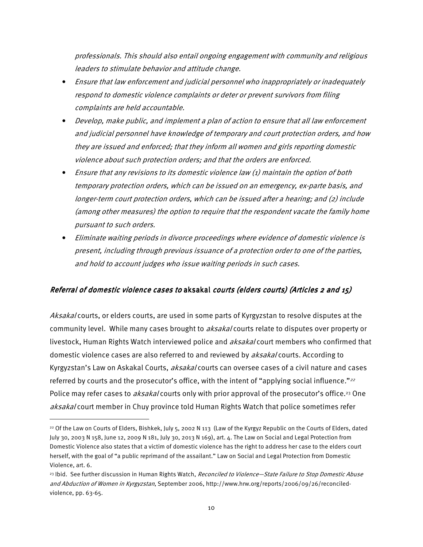professionals. This should also entail ongoing engagement with community and religious leaders to stimulate behavior and attitude change.

- Ensure that law enforcement and judicial personnel who inappropriately or inadequately respond to domestic violence complaints or deter or prevent survivors from filing complaints are held accountable.
- Develop, make public, and implement a plan of action to ensure that all law enforcement and judicial personnel have knowledge of temporary and court protection orders, and how they are issued and enforced; that they inform all women and girls reporting domestic violence about such protection orders; and that the orders are enforced.
- Ensure that any revisions to its domestic violence law (1) maintain the option of both temporary protection orders, which can be issued on an emergency, ex-parte basis, and longer-term court protection orders, which can be issued after a hearing; and (2) include (among other measures) the option to require that the respondent vacate the family home pursuant to such orders.
- Eliminate waiting periods in divorce proceedings where evidence of domestic violence is present, including through previous issuance of a protection order to one of the parties, and hold to account judges who issue waiting periods in such cases.

#### Referral of domestic violence cases to aksakal courts (elders courts) (Articles 2 and 15)

Aksakal courts, or elders courts, are used in some parts of Kyrgyzstan to resolve disputes at the community level. While many cases brought to *aksakal* courts relate to disputes over property or livestock, Human Rights Watch interviewed police and aksakal court members who confirmed that domestic violence cases are also referred to and reviewed by *aksakal* courts. According to Kyrgyzstan's Law on Askakal Courts, *aksakal* courts can oversee cases of a civil nature and cases referred by courts and the prosecutor's office, with the intent of "applying social influence."<sup>22</sup> Police may refer cases to *aksakal* courts only with prior approval of the prosecutor's office.<sup>23</sup> One aksakal court member in Chuy province told Human Rights Watch that police sometimes refer

<sup>22</sup> Of the Law on Courts of Elders, Bishkek, July 5, 2002 N 113 (Law of the Kyrgyz Republic on the Courts of Elders, dated July 30, 2003 N 158, June 12, 2009 N 181, July 30, 2013 N 169), art. 4. The Law on Social and Legal Protection from Domestic Violence also states that a victim of domestic violence has the right to address her case to the elders court herself, with the goal of "a public reprimand of the assailant." Law on Social and Legal Protection from Domestic Violence, art. 6.

<sup>&</sup>lt;sup>23</sup> Ibid. See further discussion in Human Rights Watch, Reconciled to Violence-State Failure to Stop Domestic Abuse and Abduction of Women in Kyrgyzstan, September 2006, http://www.hrw.org/reports/2006/09/26/reconciledviolence, pp. 63-65.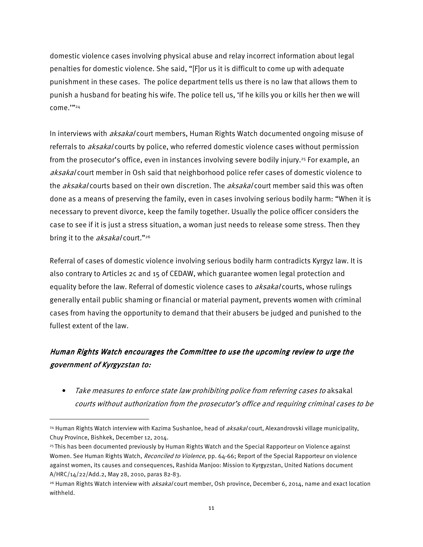domestic violence cases involving physical abuse and relay incorrect information about legal penalties for domestic violence. She said, "[F]or us it is difficult to come up with adequate punishment in these cases. The police department tells us there is no law that allows them to punish a husband for beating his wife. The police tell us, 'If he kills you or kills her then we will come.'"<sup>24</sup>

In interviews with *aksakal* court members, Human Rights Watch documented ongoing misuse of referrals to *aksakal* courts by police, who referred domestic violence cases without permission from the prosecutor's office, even in instances involving severe bodily injury.25 For example, an *aksakal* court member in Osh said that neighborhood police refer cases of domestic violence to the *aksakal* courts based on their own discretion. The *aksakal* court member said this was often done as a means of preserving the family, even in cases involving serious bodily harm: "When it is necessary to prevent divorce, keep the family together. Usually the police officer considers the case to see if it is just a stress situation, a woman just needs to release some stress. Then they bring it to the aksakal court."<sup>26</sup>

Referral of cases of domestic violence involving serious bodily harm contradicts Kyrgyz law. It is also contrary to Articles 2c and 15 of CEDAW, which guarantee women legal protection and equality before the law. Referral of domestic violence cases to aksakal courts, whose rulings generally entail public shaming or financial or material payment, prevents women with criminal cases from having the opportunity to demand that their abusers be judged and punished to the fullest extent of the law.

## Human Rights Watch encourages the Committee to use the upcoming review to urge the government of Kyrgyzstan to:

• Take measures to enforce state law prohibiting police from referring cases to aksakal courts without authorization from the prosecutor's office and requiring criminal cases to be

<sup>&</sup>lt;sup>24</sup> Human Rights Watch interview with Kazima Sushanloe, head of aksakal court, Alexandrovski village municipality, Chuy Province, Bishkek, December 12, 2014.

<sup>25</sup>This has been documented previously by Human Rights Watch and the Special Rapporteur on Violence against Women. See Human Rights Watch, Reconciled to Violence, pp. 64-66; Report of the Special Rapporteur on violence against women, its causes and consequences, Rashida Manjoo: Mission to Kyrgyzstan, United Nations document A/HRC/14/22/Add.2, May 28, 2010, paras 82-83.

<sup>&</sup>lt;sup>26</sup> Human Rights Watch interview with *aksakal* court member, Osh province, December 6, 2014, name and exact location withheld.